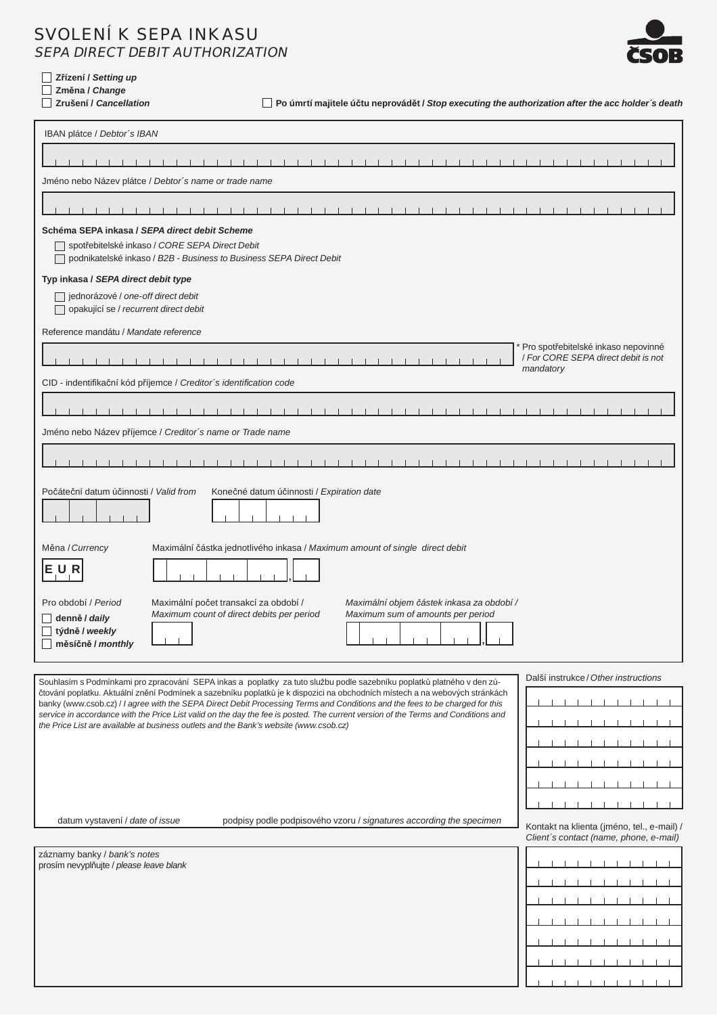## SVOLENÍ K SEPA INKASU SEPA DIRECT DEBIT AUTHORIZATION



 $1 - 1 - 1 - 1 - 1$ 

 $\mathbf{T}$ 

**ZĜízení /** *Setting up* 

- **ZmČna /** *Change*
- **Zrušení /** *Cancellation*

**Po úmrtí majitele úþtu neprovádČt /** *Stop executing the authorization after the acc holder´s death*

| IBAN plátce / Debtor's IBAN                                                                                                                                                                                                                                 |                                                                                         |
|-------------------------------------------------------------------------------------------------------------------------------------------------------------------------------------------------------------------------------------------------------------|-----------------------------------------------------------------------------------------|
|                                                                                                                                                                                                                                                             |                                                                                         |
| Jméno nebo Název plátce / Debtor's name or trade name                                                                                                                                                                                                       |                                                                                         |
|                                                                                                                                                                                                                                                             |                                                                                         |
| Schéma SEPA inkasa / SEPA direct debit Scheme<br>spotřebitelské inkaso / CORE SEPA Direct Debit<br>podnikatelské inkaso / B2B - Business to Business SEPA Direct Debit                                                                                      |                                                                                         |
| Typ inkasa / SEPA direct debit type                                                                                                                                                                                                                         |                                                                                         |
| jednorázové / one-off direct debit<br>opakující se / recurrent direct debit                                                                                                                                                                                 |                                                                                         |
| Reference mandátu / Mandate reference                                                                                                                                                                                                                       |                                                                                         |
|                                                                                                                                                                                                                                                             | Pro spotřebitelské inkaso nepovinné<br>/ For CORE SEPA direct debit is not<br>mandatory |
| CID - indentifikační kód příjemce / Creditor's identification code                                                                                                                                                                                          |                                                                                         |
|                                                                                                                                                                                                                                                             |                                                                                         |
| Jméno nebo Název příjemce / Creditor's name or Trade name                                                                                                                                                                                                   |                                                                                         |
|                                                                                                                                                                                                                                                             |                                                                                         |
| Počáteční datum účinnosti / Valid from<br>Konečné datum účinnosti / Expiration date                                                                                                                                                                         |                                                                                         |
| Měna / Currency<br>Maximální částka jednotlivého inkasa / Maximum amount of single direct debit                                                                                                                                                             |                                                                                         |
| EUR                                                                                                                                                                                                                                                         |                                                                                         |
| Pro období / Period<br>Maximální počet transakcí za období /<br>Maximální objem částek inkasa za období /                                                                                                                                                   |                                                                                         |
| Maximum count of direct debits per period<br>Maximum sum of amounts per period<br>denně / daily                                                                                                                                                             |                                                                                         |
| týdně / weekly<br>měsíčně / monthly                                                                                                                                                                                                                         |                                                                                         |
|                                                                                                                                                                                                                                                             |                                                                                         |
| Souhlasím s Podmínkami pro zpracování SEPA inkas a poplatky za tuto službu podle sazebníku poplatků platného v den zú-                                                                                                                                      | Další instrukce / Other instructions                                                    |
| čtování poplatku. Aktuální znění Podmínek a sazebníku poplatků je k dispozici na obchodních místech a na webových stránkách<br>banky (www.csob.cz) / I agree with the SEPA Direct Debit Processing Terms and Conditions and the fees to be charged for this |                                                                                         |
| service in accordance with the Price List valid on the day the fee is posted. The current version of the Terms and Conditions and<br>the Price List are available at business outlets and the Bank's website (www.csob.cz)                                  |                                                                                         |
|                                                                                                                                                                                                                                                             |                                                                                         |
|                                                                                                                                                                                                                                                             |                                                                                         |
|                                                                                                                                                                                                                                                             |                                                                                         |
|                                                                                                                                                                                                                                                             |                                                                                         |
| podpisy podle podpisového vzoru / signatures according the specimen<br>datum vystavení / date of issue                                                                                                                                                      | Kontakt na klienta (jméno, tel., e-mail),<br>Client's contact (name, phone, e-mail)     |
| záznamy banky / bank's notes<br>prosím nevyplňujte / please leave blank                                                                                                                                                                                     |                                                                                         |
|                                                                                                                                                                                                                                                             |                                                                                         |
|                                                                                                                                                                                                                                                             |                                                                                         |
|                                                                                                                                                                                                                                                             |                                                                                         |
|                                                                                                                                                                                                                                                             |                                                                                         |
|                                                                                                                                                                                                                                                             |                                                                                         |